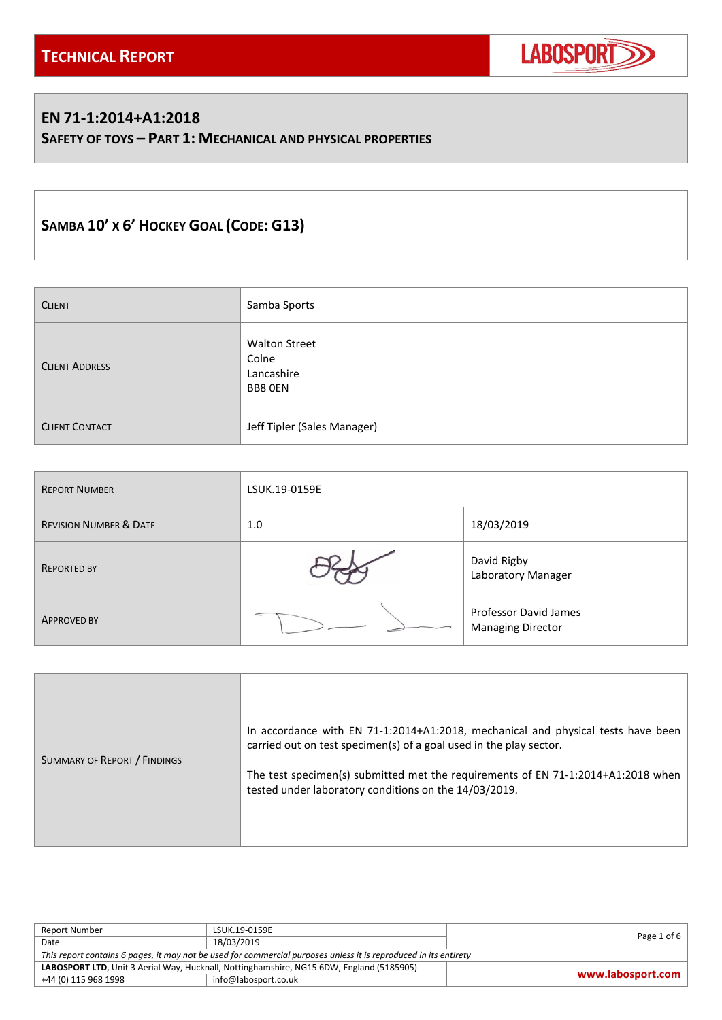

### **EN 71-1:2014+A1:2018**

**SAFETY OF TOYS – PART 1: MECHANICAL AND PHYSICAL PROPERTIES**

# **SAMBA 10' X 6' HOCKEY GOAL (CODE: G13)**

| <b>CLIENT</b>         | Samba Sports                                           |
|-----------------------|--------------------------------------------------------|
| <b>CLIENT ADDRESS</b> | <b>Walton Street</b><br>Colne<br>Lancashire<br>BB8 OEN |
| <b>CLIENT CONTACT</b> | Jeff Tipler (Sales Manager)                            |

| <b>REPORT NUMBER</b>              | LSUK.19-0159E |                                                   |  |
|-----------------------------------|---------------|---------------------------------------------------|--|
| <b>REVISION NUMBER &amp; DATE</b> | 1.0           | 18/03/2019                                        |  |
| <b>REPORTED BY</b>                |               | David Rigby<br>Laboratory Manager                 |  |
| <b>APPROVED BY</b>                |               | Professor David James<br><b>Managing Director</b> |  |

| SUMMARY OF REPORT / FINDINGS | In accordance with EN 71-1:2014+A1:2018, mechanical and physical tests have been<br>carried out on test specimen(s) of a goal used in the play sector.<br>The test specimen(s) submitted met the requirements of EN 71-1:2014+A1:2018 when<br>tested under laboratory conditions on the 14/03/2019. |
|------------------------------|-----------------------------------------------------------------------------------------------------------------------------------------------------------------------------------------------------------------------------------------------------------------------------------------------------|
|------------------------------|-----------------------------------------------------------------------------------------------------------------------------------------------------------------------------------------------------------------------------------------------------------------------------------------------------|

| Report Number                                                                                                    | LSUK.19-0159E        |                   |
|------------------------------------------------------------------------------------------------------------------|----------------------|-------------------|
| Date                                                                                                             | 18/03/2019           | Page 1 of 6       |
| This report contains 6 pages, it may not be used for commercial purposes unless it is reproduced in its entirety |                      |                   |
| LABOSPORT LTD, Unit 3 Aerial Way, Hucknall, Nottinghamshire, NG15 6DW, England (5185905)                         |                      |                   |
| +44 (0) 115 968 1998                                                                                             | info@labosport.co.uk | www.labosport.com |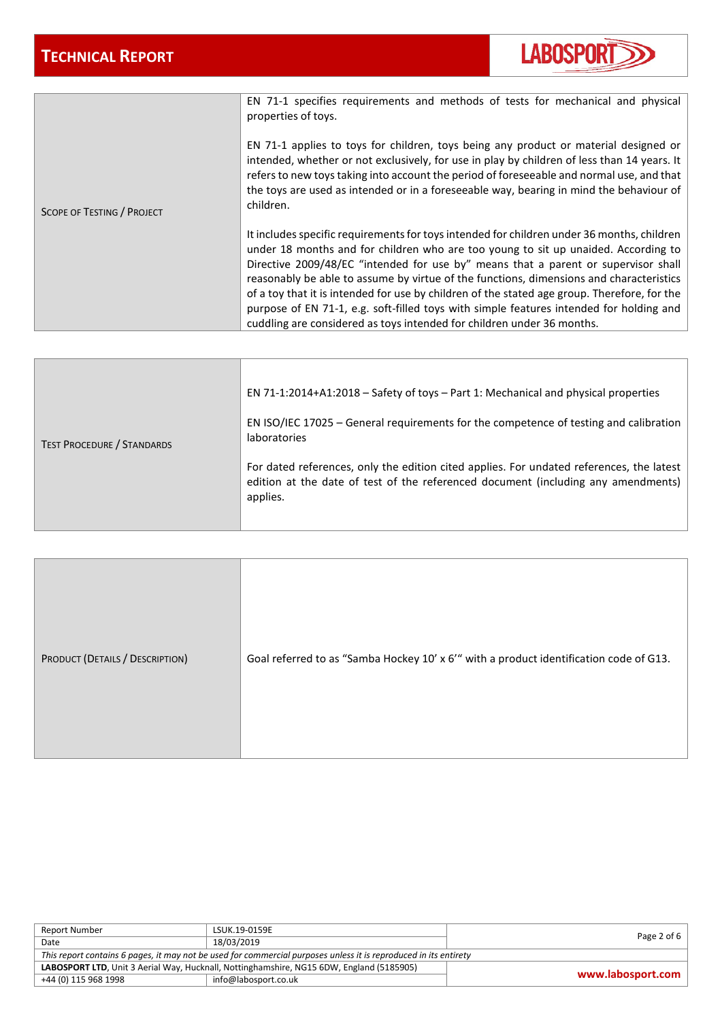

|                                   | EN 71-1 specifies requirements and methods of tests for mechanical and physical<br>properties of toys.                                                                                                                                                                                                                                                                                                                                                                                                                                                                                                                                 |
|-----------------------------------|----------------------------------------------------------------------------------------------------------------------------------------------------------------------------------------------------------------------------------------------------------------------------------------------------------------------------------------------------------------------------------------------------------------------------------------------------------------------------------------------------------------------------------------------------------------------------------------------------------------------------------------|
| <b>SCOPE OF TESTING / PROJECT</b> | EN 71-1 applies to toys for children, toys being any product or material designed or<br>intended, whether or not exclusively, for use in play by children of less than 14 years. It<br>refers to new toys taking into account the period of foreseeable and normal use, and that<br>the toys are used as intended or in a foreseeable way, bearing in mind the behaviour of<br>children.                                                                                                                                                                                                                                               |
|                                   | It includes specific requirements for toys intended for children under 36 months, children<br>under 18 months and for children who are too young to sit up unaided. According to<br>Directive 2009/48/EC "intended for use by" means that a parent or supervisor shall<br>reasonably be able to assume by virtue of the functions, dimensions and characteristics<br>of a toy that it is intended for use by children of the stated age group. Therefore, for the<br>purpose of EN 71-1, e.g. soft-filled toys with simple features intended for holding and<br>cuddling are considered as toys intended for children under 36 months. |

| <b>TEST PROCEDURE / STANDARDS</b> | EN 71-1:2014+A1:2018 – Safety of toys – Part 1: Mechanical and physical properties<br>EN ISO/IEC 17025 - General requirements for the competence of testing and calibration<br><b>laboratories</b><br>For dated references, only the edition cited applies. For undated references, the latest<br>edition at the date of test of the referenced document (including any amendments) |
|-----------------------------------|-------------------------------------------------------------------------------------------------------------------------------------------------------------------------------------------------------------------------------------------------------------------------------------------------------------------------------------------------------------------------------------|
|                                   | applies.                                                                                                                                                                                                                                                                                                                                                                            |

| PRODUCT (DETAILS / DESCRIPTION) | Goal referred to as "Samba Hockey 10' x 6" with a product identification code of G13. |
|---------------------------------|---------------------------------------------------------------------------------------|
|---------------------------------|---------------------------------------------------------------------------------------|

| Report Number                                                                                                    | LSUK.19-0159E        |                     |  |
|------------------------------------------------------------------------------------------------------------------|----------------------|---------------------|--|
| Date                                                                                                             | 18/03/2019           | Page 2 of 6 $\vert$ |  |
| This report contains 6 pages, it may not be used for commercial purposes unless it is reproduced in its entirety |                      |                     |  |
| LABOSPORT LTD, Unit 3 Aerial Way, Hucknall, Nottinghamshire, NG15 6DW, England (5185905)                         |                      |                     |  |
| +44 (0) 115 968 1998                                                                                             | info@labosport.co.uk | www.labosport.com   |  |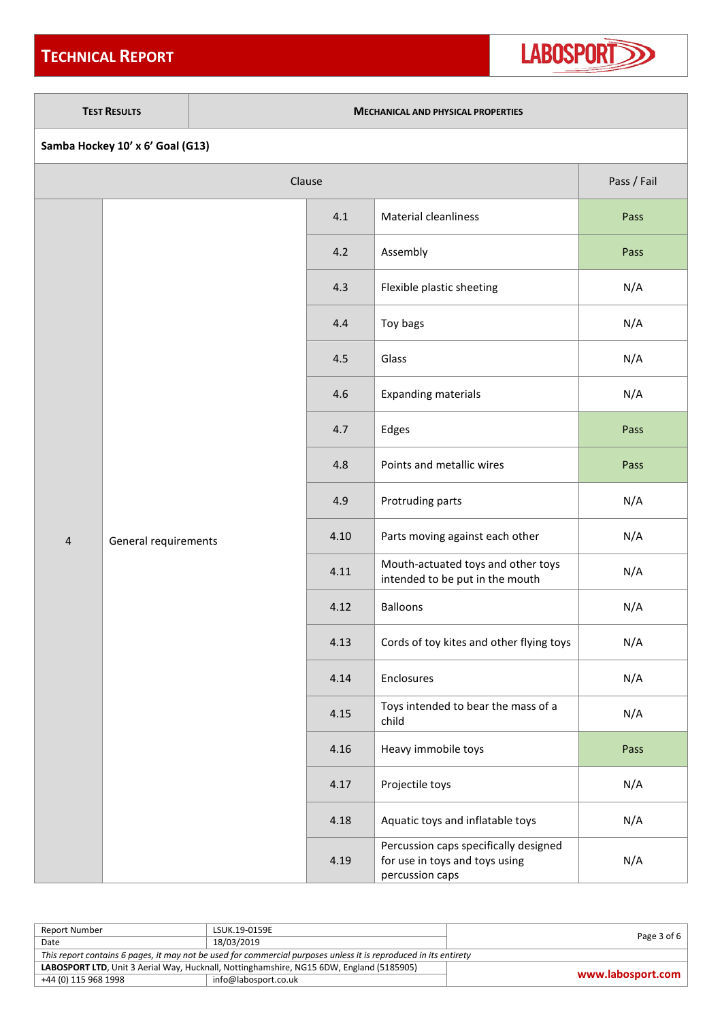## **TECHNICAL REPORT**



#### **TEST RESULTS MECHANICAL AND PHYSICAL PROPERTIES**

| Clause<br>Pass / Fail   |                      |      |                                                                                            |      |
|-------------------------|----------------------|------|--------------------------------------------------------------------------------------------|------|
|                         |                      | 4.1  | <b>Material cleanliness</b>                                                                | Pass |
|                         |                      | 4.2  | Assembly                                                                                   | Pass |
|                         |                      | 4.3  | Flexible plastic sheeting                                                                  | N/A  |
|                         |                      | 4.4  | Toy bags                                                                                   | N/A  |
|                         |                      | 4.5  | Glass                                                                                      | N/A  |
|                         |                      | 4.6  | <b>Expanding materials</b>                                                                 | N/A  |
|                         |                      | 4.7  | Edges                                                                                      | Pass |
|                         | General requirements | 4.8  | Points and metallic wires                                                                  | Pass |
|                         |                      | 4.9  | Protruding parts                                                                           | N/A  |
| $\overline{\mathbf{4}}$ |                      | 4.10 | Parts moving against each other                                                            | N/A  |
|                         |                      | 4.11 | Mouth-actuated toys and other toys<br>intended to be put in the mouth                      | N/A  |
|                         |                      | 4.12 | <b>Balloons</b>                                                                            | N/A  |
|                         |                      | 4.13 | Cords of toy kites and other flying toys                                                   | N/A  |
|                         |                      | 4.14 | Enclosures                                                                                 | N/A  |
|                         |                      | 4.15 | Toys intended to bear the mass of a<br>child                                               | N/A  |
|                         |                      | 4.16 | Heavy immobile toys                                                                        | Pass |
|                         |                      | 4.17 | Projectile toys                                                                            | N/A  |
|                         |                      | 4.18 | Aquatic toys and inflatable toys                                                           | N/A  |
|                         |                      | 4.19 | Percussion caps specifically designed<br>for use in toys and toys using<br>percussion caps | N/A  |

| Report Number                                                                                                    | LSUK.19-0159E        | Page 3 of 6       |  |
|------------------------------------------------------------------------------------------------------------------|----------------------|-------------------|--|
| Date                                                                                                             | 18/03/2019           |                   |  |
| This report contains 6 pages, it may not be used for commercial purposes unless it is reproduced in its entirety |                      |                   |  |
| LABOSPORT LTD, Unit 3 Aerial Way, Hucknall, Nottinghamshire, NG15 6DW, England (5185905)                         |                      |                   |  |
| +44 (0) 115 968 1998                                                                                             | info@labosport.co.uk | www.labosport.com |  |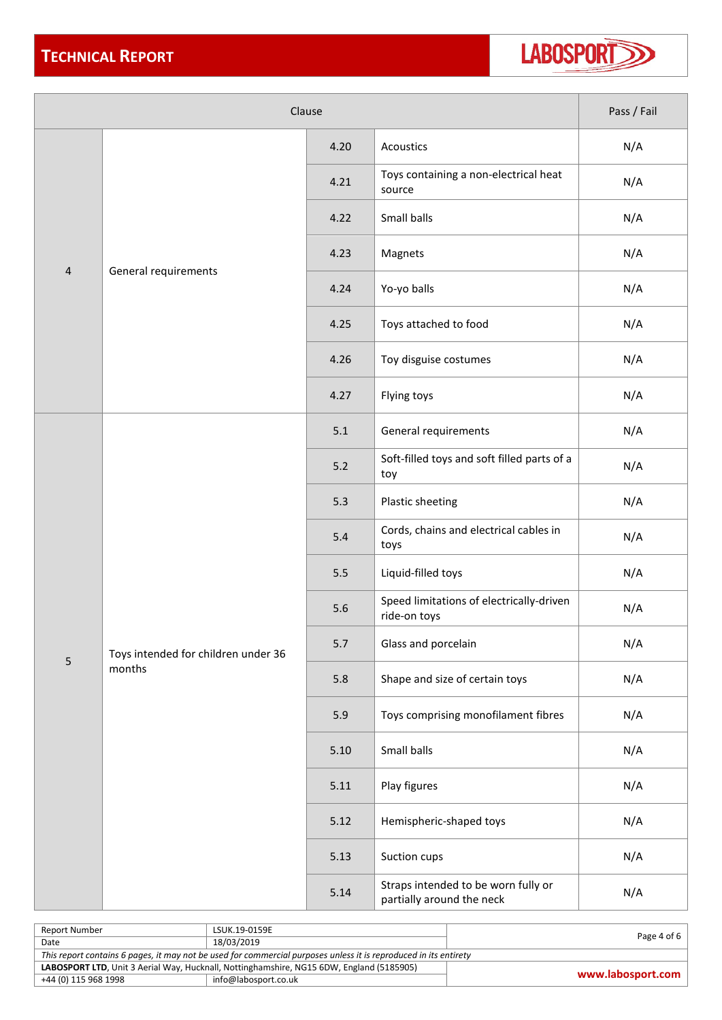

| Clause         |                                               |       |                                                                  | Pass / Fail |
|----------------|-----------------------------------------------|-------|------------------------------------------------------------------|-------------|
| $\overline{4}$ |                                               | 4.20  | Acoustics                                                        | N/A         |
|                |                                               | 4.21  | Toys containing a non-electrical heat<br>source                  | N/A         |
|                |                                               | 4.22  | Small balls                                                      | N/A         |
|                |                                               | 4.23  | Magnets                                                          | N/A         |
|                | General requirements                          | 4.24  | Yo-yo balls                                                      | N/A         |
|                |                                               | 4.25  | Toys attached to food                                            | N/A         |
|                |                                               | 4.26  | Toy disguise costumes                                            | N/A         |
|                |                                               | 4.27  | Flying toys                                                      | N/A         |
|                | Toys intended for children under 36<br>months | 5.1   | General requirements                                             | N/A         |
|                |                                               | $5.2$ | Soft-filled toys and soft filled parts of a<br>toy               | N/A         |
|                |                                               | 5.3   | Plastic sheeting                                                 | N/A         |
|                |                                               | 5.4   | Cords, chains and electrical cables in<br>toys                   | N/A         |
|                |                                               | 5.5   | Liquid-filled toys                                               | N/A         |
|                |                                               | 5.6   | Speed limitations of electrically-driven<br>ride-on toys         | N/A         |
| 5              |                                               | 5.7   | Glass and porcelain                                              | N/A         |
|                |                                               | 5.8   | Shape and size of certain toys                                   | N/A         |
|                |                                               | 5.9   | Toys comprising monofilament fibres                              | N/A         |
|                |                                               | 5.10  | Small balls                                                      | N/A         |
|                |                                               | 5.11  | Play figures                                                     | N/A         |
|                |                                               | 5.12  | Hemispheric-shaped toys                                          | N/A         |
|                |                                               | 5.13  | Suction cups                                                     | N/A         |
|                |                                               | 5.14  | Straps intended to be worn fully or<br>partially around the neck | N/A         |

| Report Number                                                                                                    | LSUK.19-0159E        | Page 4 of 6       |  |
|------------------------------------------------------------------------------------------------------------------|----------------------|-------------------|--|
| Date                                                                                                             | 18/03/2019           |                   |  |
| This report contains 6 pages, it may not be used for commercial purposes unless it is reproduced in its entirety |                      |                   |  |
| LABOSPORT LTD, Unit 3 Aerial Way, Hucknall, Nottinghamshire, NG15 6DW, England (5185905)                         |                      |                   |  |
| +44 (0) 115 968 1998                                                                                             | info@labosport.co.uk | www.labosport.com |  |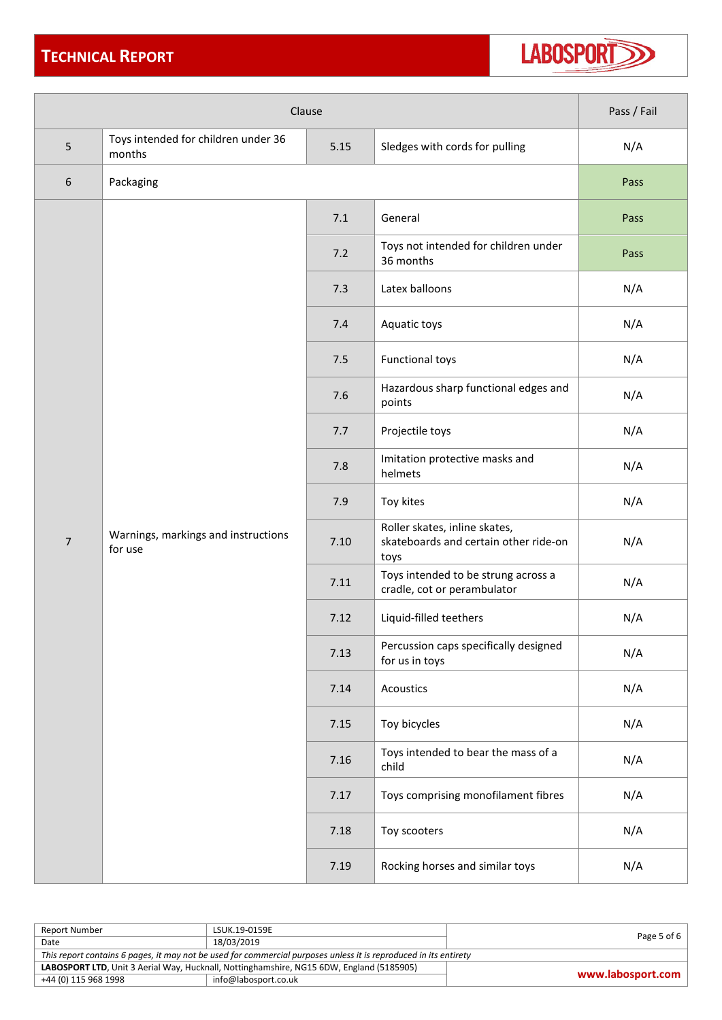## **TECHNICAL REPORT**



| Clause                    |                                                                                         |      | Pass / Fail                                                                    |      |
|---------------------------|-----------------------------------------------------------------------------------------|------|--------------------------------------------------------------------------------|------|
| 5                         | Toys intended for children under 36<br>5.15<br>Sledges with cords for pulling<br>months |      | N/A                                                                            |      |
| 6                         | Packaging                                                                               |      |                                                                                | Pass |
|                           |                                                                                         | 7.1  | General                                                                        | Pass |
|                           |                                                                                         | 7.2  | Toys not intended for children under<br>36 months                              | Pass |
|                           |                                                                                         | 7.3  | Latex balloons                                                                 | N/A  |
|                           |                                                                                         | 7.4  | Aquatic toys                                                                   | N/A  |
|                           |                                                                                         | 7.5  | <b>Functional toys</b>                                                         | N/A  |
|                           |                                                                                         | 7.6  | Hazardous sharp functional edges and<br>points                                 | N/A  |
|                           |                                                                                         | 7.7  | Projectile toys                                                                | N/A  |
|                           |                                                                                         | 7.8  | Imitation protective masks and<br>helmets                                      | N/A  |
|                           |                                                                                         | 7.9  | Toy kites                                                                      | N/A  |
| $\overline{7}$<br>for use | Warnings, markings and instructions                                                     | 7.10 | Roller skates, inline skates,<br>skateboards and certain other ride-on<br>toys | N/A  |
|                           |                                                                                         | 7.11 | Toys intended to be strung across a<br>cradle, cot or perambulator             | N/A  |
|                           |                                                                                         | 7.12 | Liquid-filled teethers                                                         | N/A  |
|                           |                                                                                         | 7.13 | Percussion caps specifically designed<br>for us in toys                        | N/A  |
|                           |                                                                                         | 7.14 | Acoustics                                                                      | N/A  |
|                           |                                                                                         | 7.15 | Toy bicycles                                                                   | N/A  |
|                           |                                                                                         | 7.16 | Toys intended to bear the mass of a<br>child                                   | N/A  |
|                           |                                                                                         | 7.17 | Toys comprising monofilament fibres                                            | N/A  |
|                           |                                                                                         | 7.18 | Toy scooters                                                                   | N/A  |
|                           |                                                                                         | 7.19 | Rocking horses and similar toys                                                | N/A  |

| Report Number                                                                                                    | LSUK.19-0159E        | Page 5 of 6 $\vert$ |  |
|------------------------------------------------------------------------------------------------------------------|----------------------|---------------------|--|
| Date                                                                                                             | 18/03/2019           |                     |  |
| This report contains 6 pages, it may not be used for commercial purposes unless it is reproduced in its entirety |                      |                     |  |
| LABOSPORT LTD, Unit 3 Aerial Way, Hucknall, Nottinghamshire, NG15 6DW, England (5185905)                         |                      | www.labosport.com   |  |
| +44 (0) 115 968 1998                                                                                             | info@labosport.co.uk |                     |  |